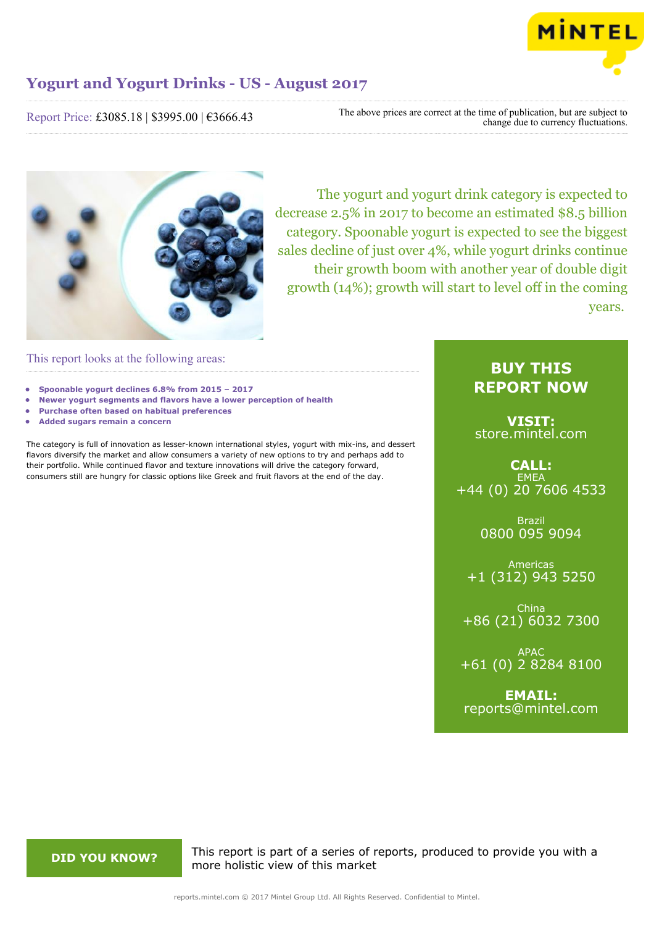

Report Price: £3085.18 | \$3995.00 | €3666.43

The above prices are correct at the time of publication, but are subject to change due to currency fluctuations.



The yogurt and yogurt drink category is expected to decrease 2.5% in 2017 to become an estimated \$8.5 billion category. Spoonable yogurt is expected to see the biggest sales decline of just over 4%, while yogurt drinks continue their growth boom with another year of double digit growth (14%); growth will start to level off in the coming years.

This report looks at the following areas:

- **• Spoonable yogurt declines 6.8% from 2015 2017**
- **• Newer yogurt segments and flavors have a lower perception of health**
- **• Purchase often based on habitual preferences**
- **• Added sugars remain a concern**

The category is full of innovation as lesser-known international styles, yogurt with mix-ins, and dessert flavors diversify the market and allow consumers a variety of new options to try and perhaps add to their portfolio. While continued flavor and texture innovations will drive the category forward, consumers still are hungry for classic options like Greek and fruit flavors at the end of the day.

## **BUY THIS REPORT NOW**

**VISIT:** [store.mintel.com](http://reports.mintel.com//display/store/794013/)

**CALL: EMEA** +44 (0) 20 7606 4533

> Brazil 0800 095 9094

Americas +1 (312) 943 5250

China +86 (21) 6032 7300

APAC +61 (0) 2 8284 8100

**EMAIL:** [reports@mintel.com](mailto:reports@mintel.com)

**DID YOU KNOW?** This report is part of a series of reports, produced to provide you with a more holistic view of this market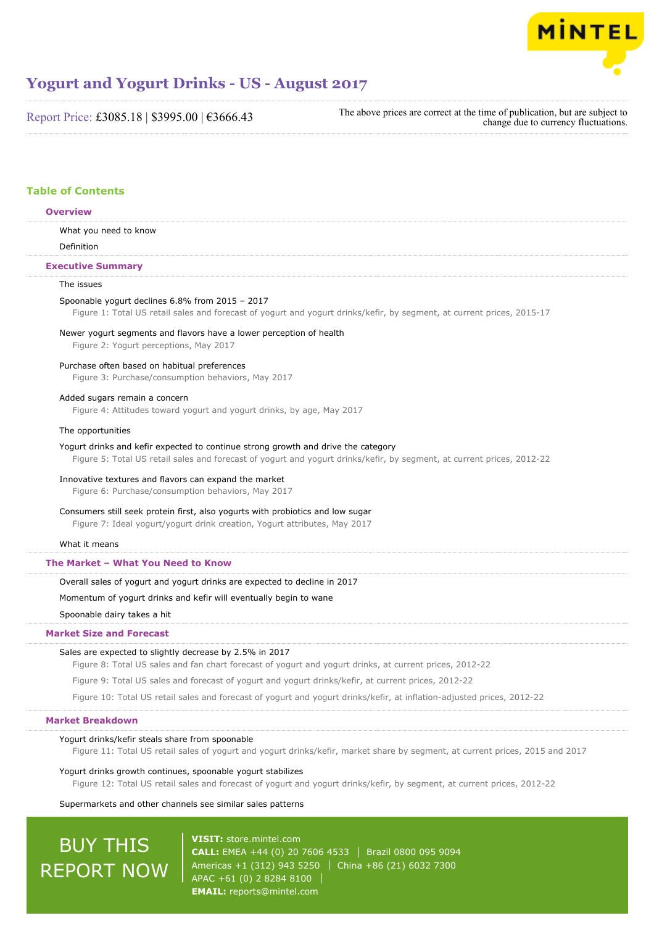

Report Price: £3085.18 | \$3995.00 | €3666.43

The above prices are correct at the time of publication, but are subject to change due to currency fluctuations.

## **Table of Contents**

## **Overview**

What you need to know

Definition

## **Executive Summary**

## The issues

#### Spoonable yogurt declines 6.8% from 2015 – 2017

Figure 1: Total US retail sales and forecast of yogurt and yogurt drinks/kefir, by segment, at current prices, 2015-17

## Newer yogurt segments and flavors have a lower perception of health

Figure 2: Yogurt perceptions, May 2017

### Purchase often based on habitual preferences

Figure 3: Purchase/consumption behaviors, May 2017

#### Added sugars remain a concern

Figure 4: Attitudes toward yogurt and yogurt drinks, by age, May 2017

#### The opportunities

#### Yogurt drinks and kefir expected to continue strong growth and drive the category

Figure 5: Total US retail sales and forecast of yogurt and yogurt drinks/kefir, by segment, at current prices, 2012-22

#### Innovative textures and flavors can expand the market

Figure 6: Purchase/consumption behaviors, May 2017

### Consumers still seek protein first, also yogurts with probiotics and low sugar

Figure 7: Ideal yogurt/yogurt drink creation, Yogurt attributes, May 2017

#### What it means

## **The Market – What You Need to Know**

Overall sales of yogurt and yogurt drinks are expected to decline in 2017

## Momentum of yogurt drinks and kefir will eventually begin to wane

Spoonable dairy takes a hit

## **Market Size and Forecast**

#### Sales are expected to slightly decrease by 2.5% in 2017

Figure 8: Total US sales and fan chart forecast of yogurt and yogurt drinks, at current prices, 2012-22

Figure 9: Total US sales and forecast of yogurt and yogurt drinks/kefir, at current prices, 2012-22

Figure 10: Total US retail sales and forecast of yogurt and yogurt drinks/kefir, at inflation-adjusted prices, 2012-22

## **Market Breakdown**

### Yogurt drinks/kefir steals share from spoonable

Figure 11: Total US retail sales of yogurt and yogurt drinks/kefir, market share by segment, at current prices, 2015 and 2017

#### Yogurt drinks growth continues, spoonable yogurt stabilizes

Figure 12: Total US retail sales and forecast of yogurt and yogurt drinks/kefir, by segment, at current prices, 2012-22

#### Supermarkets and other channels see similar sales patterns

# BUY THIS REPORT NOW

**VISIT:** [store.mintel.com](http://reports.mintel.com//display/store/794013/) **CALL:** EMEA +44 (0) 20 7606 4533 Brazil 0800 095 9094 Americas +1 (312) 943 5250 | China +86 (21) 6032 7300 APAC +61 (0) 2 8284 8100 **EMAIL:** [reports@mintel.com](mailto:reports@mintel.com)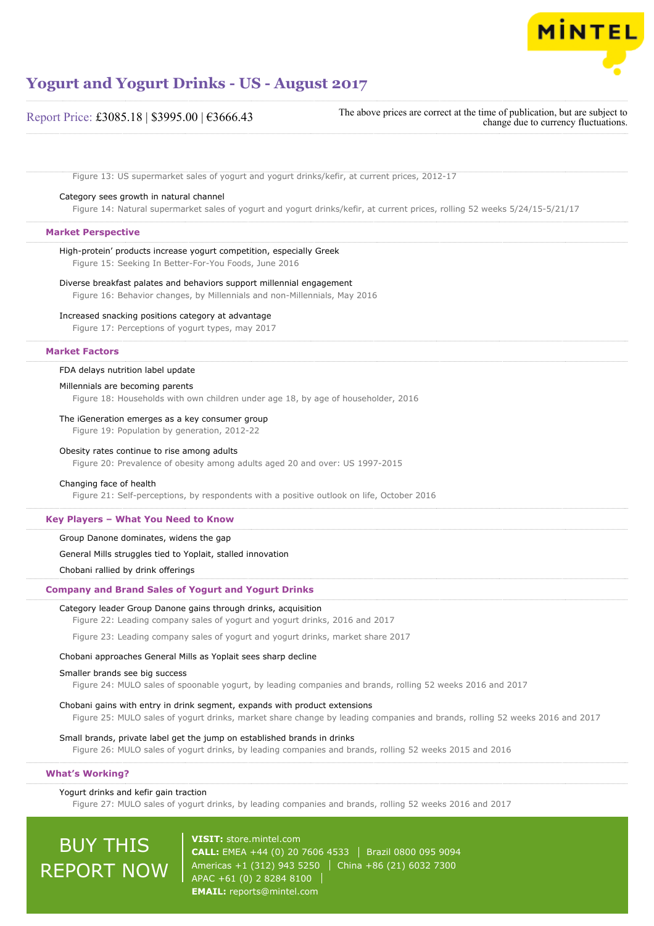

| Report Price: £3085.18   \$3995.00   €3666.43 |  |  |
|-----------------------------------------------|--|--|
|                                               |  |  |

The above prices are correct at the time of publication, but are subject to change due to currency fluctuations.

Figure 13: US supermarket sales of yogurt and yogurt drinks/kefir, at current prices, 2012-17

### Category sees growth in natural channel

Figure 14: Natural supermarket sales of yogurt and yogurt drinks/kefir, at current prices, rolling 52 weeks 5/24/15-5/21/17

## **Market Perspective**

## High-protein' products increase yogurt competition, especially Greek

Figure 15: Seeking In Better-For-You Foods, June 2016

## Diverse breakfast palates and behaviors support millennial engagement

Figure 16: Behavior changes, by Millennials and non-Millennials, May 2016

## Increased snacking positions category at advantage

Figure 17: Perceptions of yogurt types, may 2017

#### **Market Factors**

#### FDA delays nutrition label update

#### Millennials are becoming parents

Figure 18: Households with own children under age 18, by age of householder, 2016

#### The iGeneration emerges as a key consumer group

Figure 19: Population by generation, 2012-22

#### Obesity rates continue to rise among adults

Figure 20: Prevalence of obesity among adults aged 20 and over: US 1997-2015

#### Changing face of health

Figure 21: Self-perceptions, by respondents with a positive outlook on life, October 2016

#### **Key Players – What You Need to Know**

Group Danone dominates, widens the gap

## General Mills struggles tied to Yoplait, stalled innovation

Chobani rallied by drink offerings

### **Company and Brand Sales of Yogurt and Yogurt Drinks**

### Category leader Group Danone gains through drinks, acquisition

Figure 22: Leading company sales of yogurt and yogurt drinks, 2016 and 2017

Figure 23: Leading company sales of yogurt and yogurt drinks, market share 2017

## Chobani approaches General Mills as Yoplait sees sharp decline

#### Smaller brands see big success

Figure 24: MULO sales of spoonable yogurt, by leading companies and brands, rolling 52 weeks 2016 and 2017

Chobani gains with entry in drink segment, expands with product extensions Figure 25: MULO sales of yogurt drinks, market share change by leading companies and brands, rolling 52 weeks 2016 and 2017

## Small brands, private label get the jump on established brands in drinks

Figure 26: MULO sales of yogurt drinks, by leading companies and brands, rolling 52 weeks 2015 and 2016

#### **What's Working?**

#### Yogurt drinks and kefir gain traction

Figure 27: MULO sales of yogurt drinks, by leading companies and brands, rolling 52 weeks 2016 and 2017

# BUY THIS REPORT NOW

**VISIT:** [store.mintel.com](http://reports.mintel.com//display/store/794013/) **CALL:** EMEA +44 (0) 20 7606 4533 Brazil 0800 095 9094 Americas +1 (312) 943 5250 | China +86 (21) 6032 7300 APAC +61 (0) 2 8284 8100 **EMAIL:** [reports@mintel.com](mailto:reports@mintel.com)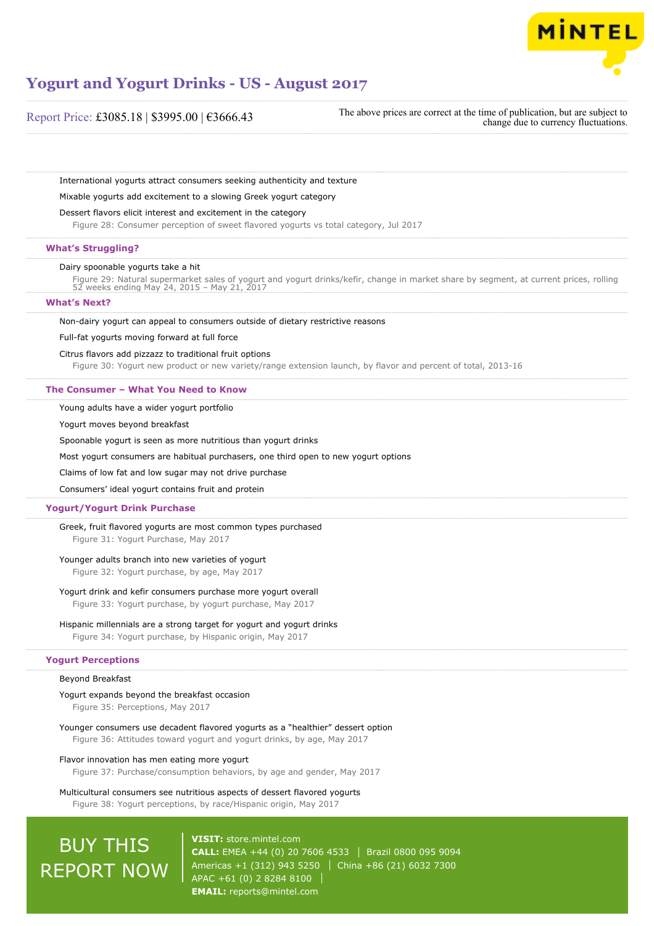

Report Price: £3085.18 | \$3995.00 | €3666.43

The above prices are correct at the time of publication, but are subject to change due to currency fluctuations.

International yogurts attract consumers seeking authenticity and texture

Mixable yogurts add excitement to a slowing Greek yogurt category

#### Dessert flavors elicit interest and excitement in the category

Figure 28: Consumer perception of sweet flavored yogurts vs total category, Jul 2017

#### **What's Struggling?**

#### Dairy spoonable yogurts take a hit

Figure 29: Natural supermarket sales of yogurt and yogurt drinks/kefir, change in market share by segment, at current prices, rolling 52 weeks ending May 24, 2015 – May 21, 2017

#### **What's Next?**

Non-dairy yogurt can appeal to consumers outside of dietary restrictive reasons

#### Full-fat yogurts moving forward at full force

#### Citrus flavors add pizzazz to traditional fruit options

Figure 30: Yogurt new product or new variety/range extension launch, by flavor and percent of total, 2013-16

#### **The Consumer – What You Need to Know**

Young adults have a wider yogurt portfolio

Yogurt moves beyond breakfast

Spoonable yogurt is seen as more nutritious than yogurt drinks

Most yogurt consumers are habitual purchasers, one third open to new yogurt options

Claims of low fat and low sugar may not drive purchase

Consumers' ideal yogurt contains fruit and protein

### **Yogurt/Yogurt Drink Purchase**

Greek, fruit flavored yogurts are most common types purchased Figure 31: Yogurt Purchase, May 2017

### Younger adults branch into new varieties of yogurt

Figure 32: Yogurt purchase, by age, May 2017

#### Yogurt drink and kefir consumers purchase more yogurt overall

Figure 33: Yogurt purchase, by yogurt purchase, May 2017

#### Hispanic millennials are a strong target for yogurt and yogurt drinks

Figure 34: Yogurt purchase, by Hispanic origin, May 2017

## **Yogurt Perceptions**

## Beyond Breakfast

#### Yogurt expands beyond the breakfast occasion

Figure 35: Perceptions, May 2017

Younger consumers use decadent flavored yogurts as a "healthier" dessert option

Figure 36: Attitudes toward yogurt and yogurt drinks, by age, May 2017

#### Flavor innovation has men eating more yogurt

Figure 37: Purchase/consumption behaviors, by age and gender, May 2017

Multicultural consumers see nutritious aspects of dessert flavored yogurts Figure 38: Yogurt perceptions, by race/Hispanic origin, May 2017

# BUY THIS REPORT NOW

**VISIT:** [store.mintel.com](http://reports.mintel.com//display/store/794013/) **CALL:** EMEA +44 (0) 20 7606 4533 Brazil 0800 095 9094 Americas +1 (312) 943 5250 | China +86 (21) 6032 7300 APAC +61 (0) 2 8284 8100 **EMAIL:** [reports@mintel.com](mailto:reports@mintel.com)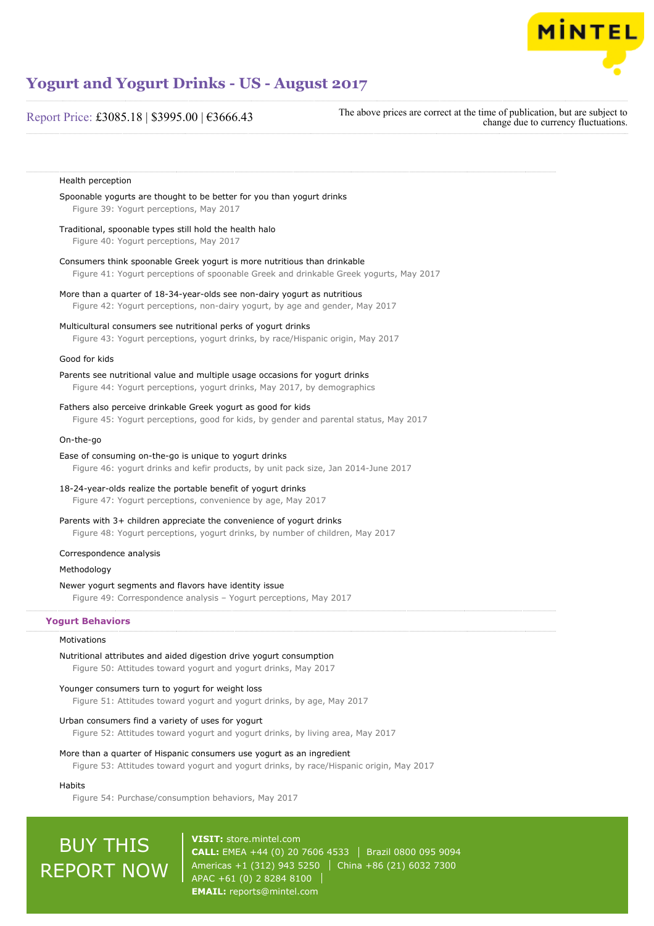

## Report Price: £3085.18 | \$3995.00 | €3666.43

The above prices are correct at the time of publication, but are subject to change due to currency fluctuations.

## Health perception Spoonable yogurts are thought to be better for you than yogurt drinks Figure 39: Yogurt perceptions, May 2017 Traditional, spoonable types still hold the health halo Figure 40: Yogurt perceptions, May 2017 Consumers think spoonable Greek yogurt is more nutritious than drinkable Figure 41: Yogurt perceptions of spoonable Greek and drinkable Greek yogurts, May 2017 More than a quarter of 18-34-year-olds see non-dairy yogurt as nutritious Figure 42: Yogurt perceptions, non-dairy yogurt, by age and gender, May 2017 Multicultural consumers see nutritional perks of yogurt drinks Figure 43: Yogurt perceptions, yogurt drinks, by race/Hispanic origin, May 2017 Good for kids Parents see nutritional value and multiple usage occasions for yogurt drinks Figure 44: Yogurt perceptions, yogurt drinks, May 2017, by demographics Fathers also perceive drinkable Greek yogurt as good for kids Figure 45: Yogurt perceptions, good for kids, by gender and parental status, May 2017 On-the-go Ease of consuming on-the-go is unique to yogurt drinks Figure 46: yogurt drinks and kefir products, by unit pack size, Jan 2014-June 2017 18-24-year-olds realize the portable benefit of yogurt drinks Figure 47: Yogurt perceptions, convenience by age, May 2017 Parents with 3+ children appreciate the convenience of yogurt drinks Figure 48: Yogurt perceptions, yogurt drinks, by number of children, May 2017 Correspondence analysis Methodology Newer yogurt segments and flavors have identity issue Figure 49: Correspondence analysis – Yogurt perceptions, May 2017 **Yogurt Behaviors**

#### Motivations

## Nutritional attributes and aided digestion drive yogurt consumption

Figure 50: Attitudes toward yogurt and yogurt drinks, May 2017

#### Younger consumers turn to yogurt for weight loss

Figure 51: Attitudes toward yogurt and yogurt drinks, by age, May 2017

#### Urban consumers find a variety of uses for yogurt

Figure 52: Attitudes toward yogurt and yogurt drinks, by living area, May 2017

#### More than a quarter of Hispanic consumers use yogurt as an ingredient

Figure 53: Attitudes toward yogurt and yogurt drinks, by race/Hispanic origin, May 2017

## Habits

Figure 54: Purchase/consumption behaviors, May 2017

# BUY THIS REPORT NOW

**VISIT:** [store.mintel.com](http://reports.mintel.com//display/store/794013/) **CALL:** EMEA +44 (0) 20 7606 4533 Brazil 0800 095 9094 Americas +1 (312) 943 5250 China +86 (21) 6032 7300 APAC +61 (0) 2 8284 8100 **EMAIL:** [reports@mintel.com](mailto:reports@mintel.com)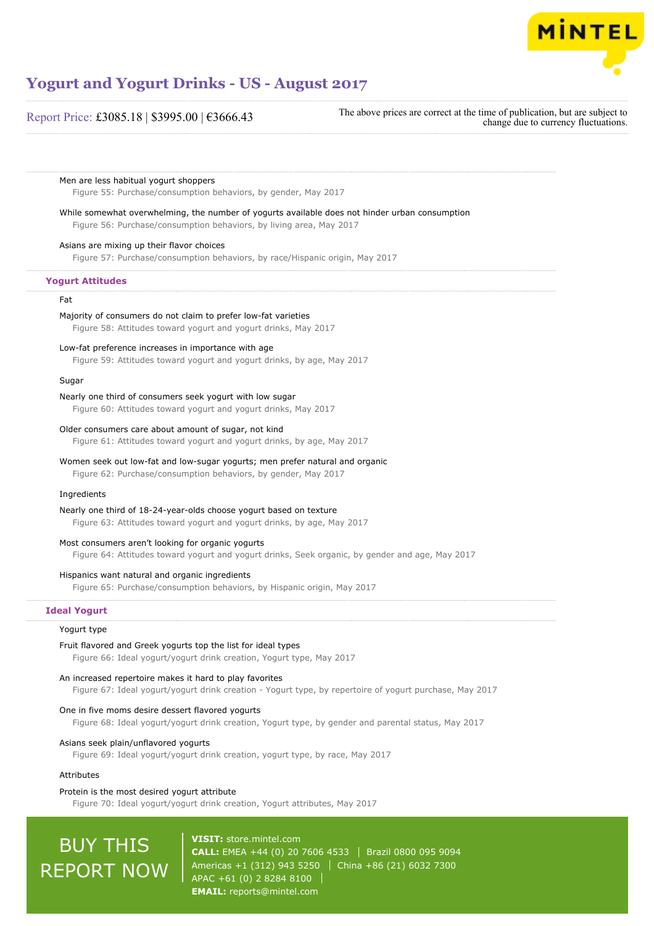

## Report Price: £3085.18 | \$3995.00 | €3666.43

The above prices are correct at the time of publication, but are subject to change due to currency fluctuations.

Men are less habitual yogurt shoppers

Figure 55: Purchase/consumption behaviors, by gender, May 2017

While somewhat overwhelming, the number of yogurts available does not hinder urban consumption

Figure 56: Purchase/consumption behaviors, by living area, May 2017

## Asians are mixing up their flavor choices

Figure 57: Purchase/consumption behaviors, by race/Hispanic origin, May 2017

## **Yogurt Attitudes**

#### Fat

#### Majority of consumers do not claim to prefer low-fat varieties

Figure 58: Attitudes toward yogurt and yogurt drinks, May 2017

#### Low-fat preference increases in importance with age

Figure 59: Attitudes toward yogurt and yogurt drinks, by age, May 2017

## Sugar

#### Nearly one third of consumers seek yogurt with low sugar

Figure 60: Attitudes toward yogurt and yogurt drinks, May 2017

#### Older consumers care about amount of sugar, not kind

Figure 61: Attitudes toward yogurt and yogurt drinks, by age, May 2017

## Women seek out low-fat and low-sugar yogurts; men prefer natural and organic

Figure 62: Purchase/consumption behaviors, by gender, May 2017

## Ingredients

Nearly one third of 18-24-year-olds choose yogurt based on texture Figure 63: Attitudes toward yogurt and yogurt drinks, by age, May 2017

#### Most consumers aren't looking for organic yogurts

Figure 64: Attitudes toward yogurt and yogurt drinks, Seek organic, by gender and age, May 2017

#### Hispanics want natural and organic ingredients

Figure 65: Purchase/consumption behaviors, by Hispanic origin, May 2017

## **Ideal Yogurt**

## Yogurt type

Fruit flavored and Greek yogurts top the list for ideal types Figure 66: Ideal yogurt/yogurt drink creation, Yogurt type, May 2017

### An increased repertoire makes it hard to play favorites

Figure 67: Ideal yogurt/yogurt drink creation - Yogurt type, by repertoire of yogurt purchase, May 2017

### One in five moms desire dessert flavored yogurts

Figure 68: Ideal yogurt/yogurt drink creation, Yogurt type, by gender and parental status, May 2017

## Asians seek plain/unflavored yogurts

Figure 69: Ideal yogurt/yogurt drink creation, yogurt type, by race, May 2017

## Attributes

#### Protein is the most desired yogurt attribute Figure 70: Ideal yogurt/yogurt drink creation, Yogurt attributes, May 2017

# **BUY THIS** REPORT NOW

**VISIT:** [store.mintel.com](http://reports.mintel.com//display/store/794013/) **CALL:** EMEA +44 (0) 20 7606 4533 | Brazil 0800 095 9094 Americas +1 (312) 943 5250 | China +86 (21) 6032 7300 APAC +61 (0) 2 8284 8100 **EMAIL:** [reports@mintel.com](mailto:reports@mintel.com)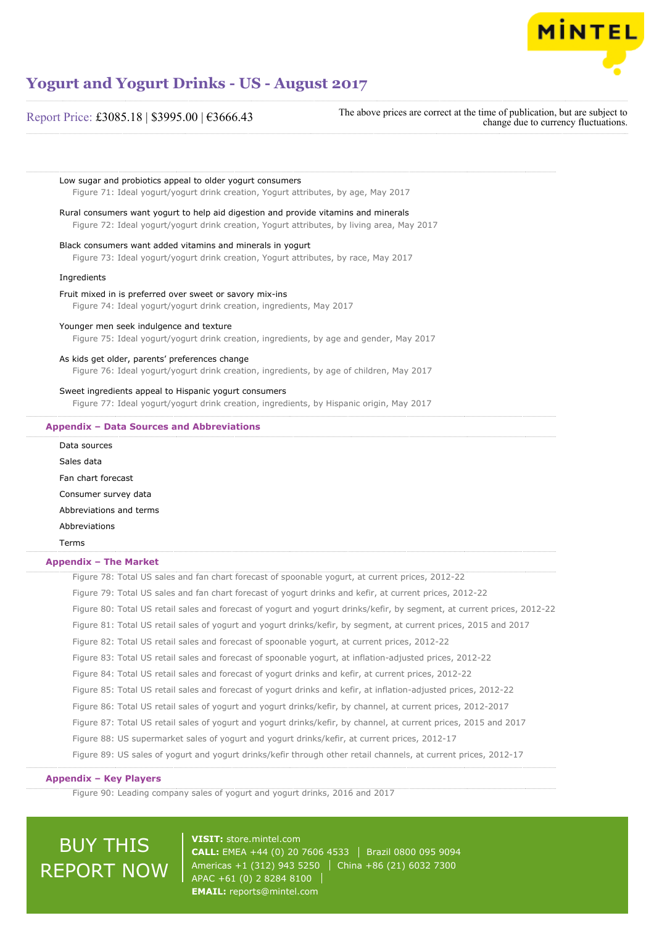

Low sugar and probiotics appeal to older yogurt consumers

## Report Price: £3085.18 | \$3995.00 | €3666.43

The above prices are correct at the time of publication, but are subject to change due to currency fluctuations.

Figure 71: Ideal yogurt/yogurt drink creation, Yogurt attributes, by age, May 2017 Rural consumers want yogurt to help aid digestion and provide vitamins and minerals Figure 72: Ideal yogurt/yogurt drink creation, Yogurt attributes, by living area, May 2017 Black consumers want added vitamins and minerals in yogurt Figure 73: Ideal yogurt/yogurt drink creation, Yogurt attributes, by race, May 2017 Ingredients Fruit mixed in is preferred over sweet or savory mix-ins Figure 74: Ideal yogurt/yogurt drink creation, ingredients, May 2017 Younger men seek indulgence and texture Figure 75: Ideal yogurt/yogurt drink creation, ingredients, by age and gender, May 2017 As kids get older, parents' preferences change Figure 76: Ideal yogurt/yogurt drink creation, ingredients, by age of children, May 2017

## Sweet ingredients appeal to Hispanic yogurt consumers

Figure 77: Ideal yogurt/yogurt drink creation, ingredients, by Hispanic origin, May 2017

## **Appendix – Data Sources and Abbreviations**

| PPCHAIA – PAGE OVAI CCO GHA ADDI CYRGI                                                                                  |
|-------------------------------------------------------------------------------------------------------------------------|
| Data sources                                                                                                            |
| Sales data                                                                                                              |
| Fan chart forecast                                                                                                      |
| Consumer survey data                                                                                                    |
| Abbreviations and terms                                                                                                 |
| Abbreviations                                                                                                           |
| Terms                                                                                                                   |
| Appendix - The Market                                                                                                   |
| Figure 78: Total US sales and fan chart forecast of spoonable yogurt, at current prices, 2012-22                        |
| Figure 79: Total US sales and fan chart forecast of yogurt drinks and kefir, at current prices, 2012-22                 |
| Figure 80: Total US retail sales and forecast of yogurt and yogurt drinks/kefir, by segment, at current prices, 2012-22 |
| Figure 81: Total US retail sales of yogurt and yogurt drinks/kefir, by segment, at current prices, 2015 and 2017        |
| Figure 82: Total US retail sales and forecast of spoonable yogurt, at current prices, 2012-22                           |
| Figure 83: Total US retail sales and forecast of spoonable yogurt, at inflation-adjusted prices, 2012-22                |
| Figure 84: Total US retail sales and forecast of yogurt drinks and kefir, at current prices, 2012-22                    |
| Figure 85: Total US retail sales and forecast of yogurt drinks and kefir, at inflation-adjusted prices, 2012-22         |
| Figure 86: Total US retail sales of yogurt and yogurt drinks/kefir, by channel, at current prices, 2012-2017            |
| Figure 87: Total US retail sales of yogurt and yogurt drinks/kefir, by channel, at current prices, 2015 and 2017        |
| Figure 88: US supermarket sales of yogurt and yogurt drinks/kefir, at current prices, 2012-17                           |
| Flame 00: HC actes of neural and neural didelicational and contacted about the contact and actes and 0.40 47            |

## Figure 89: US sales of yogurt and yogurt drinks/kefir through other retail channels, at current prices, 2012-17

## **Appendix – Key Players**

Figure 90: Leading company sales of yogurt and yogurt drinks, 2016 and 2017

# BUY THIS REPORT NOW

**VISIT:** [store.mintel.com](http://reports.mintel.com//display/store/794013/) **CALL:** EMEA +44 (0) 20 7606 4533 | Brazil 0800 095 9094 Americas +1 (312) 943 5250 | China +86 (21) 6032 7300 APAC +61 (0) 2 8284 8100 **EMAIL:** [reports@mintel.com](mailto:reports@mintel.com)